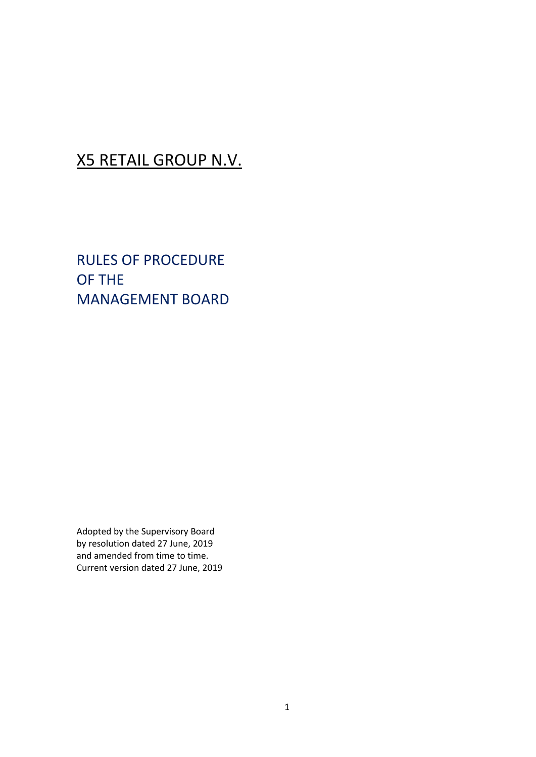### X5 RETAIL GROUP N.V.

RULES OF PROCEDURE OF THE MANAGEMENT BOARD

Adopted by the Supervisory Board by resolution dated 27 June, 2019 and amended from time to time. Current version dated 27 June, 2019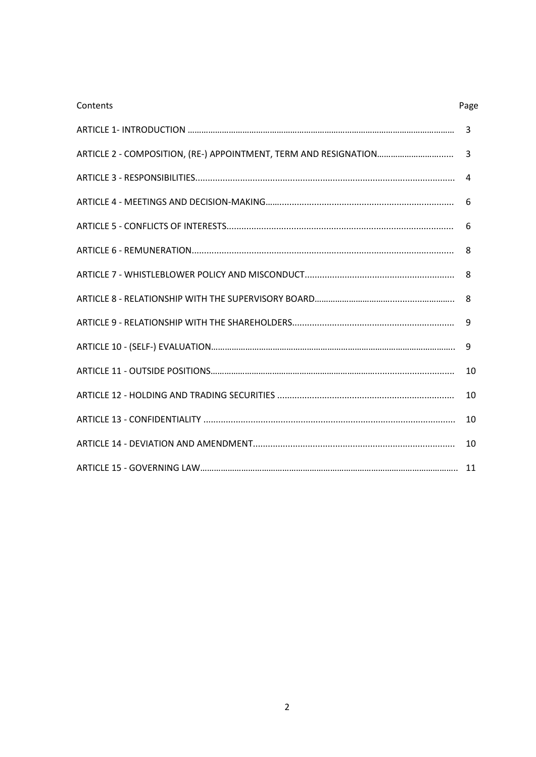| Contents | Page |
|----------|------|
|          | 3    |
|          | 3    |
|          | 4    |
|          | 6    |
|          | 6    |
|          | 8    |
|          | 8    |
|          | 8    |
|          | 9    |
|          | 9    |
|          | 10   |
|          | 10   |
|          | 10   |
|          | 10   |
|          | 11   |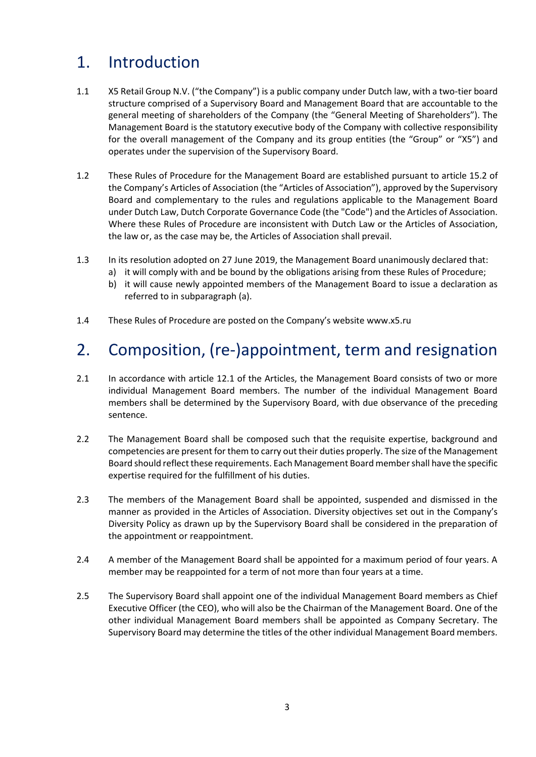# 1. Introduction

- 1.1 X5 Retail Group N.V. ("the Company") is a public company under Dutch law, with a two-tier board structure comprised of a Supervisory Board and Management Board that are accountable to the general meeting of shareholders of the Company (the "General Meeting of Shareholders"). The Management Board is the statutory executive body of the Company with collective responsibility for the overall management of the Company and its group entities (the "Group" or "X5") and operates under the supervision of the Supervisory Board.
- 1.2 These Rules of Procedure for the Management Board are established pursuant to article 15.2 of the Company's Articles of Association (the "Articles of Association"), approved by the Supervisory Board and complementary to the rules and regulations applicable to the Management Board under Dutch Law, Dutch Corporate Governance Code (the "Code") and the Articles of Association. Where these Rules of Procedure are inconsistent with Dutch Law or the Articles of Association, the law or, as the case may be, the Articles of Association shall prevail.
- 1.3 In its resolution adopted on 27 June 2019, the Management Board unanimously declared that:
	- a) it will comply with and be bound by the obligations arising from these Rules of Procedure;
		- b) it will cause newly appointed members of the Management Board to issue a declaration as referred to in subparagraph (a).
- 1.4 These Rules of Procedure are posted on the Company's website [www.x5.ru](http://www.x5.ru/)

# 2. Composition, (re-)appointment, term and resignation

- 2.1 In accordance with article 12.1 of the Articles, the Management Board consists of two or more individual Management Board members. The number of the individual Management Board members shall be determined by the Supervisory Board, with due observance of the preceding sentence.
- 2.2 The Management Board shall be composed such that the requisite expertise, background and competencies are present for them to carry out their duties properly. The size of the Management Board should reflect these requirements. Each Management Board member shall have the specific expertise required for the fulfillment of his duties.
- 2.3 The members of the Management Board shall be appointed, suspended and dismissed in the manner as provided in the Articles of Association. Diversity objectives set out in the Company's Diversity Policy as drawn up by the Supervisory Board shall be considered in the preparation of the appointment or reappointment.
- 2.4 A member of the Management Board shall be appointed for a maximum period of four years. A member may be reappointed for a term of not more than four years at a time.
- 2.5 The Supervisory Board shall appoint one of the individual Management Board members as Chief Executive Officer (the CEO), who will also be the Chairman of the Management Board. One of the other individual Management Board members shall be appointed as Company Secretary. The Supervisory Board may determine the titles of the other individual Management Board members.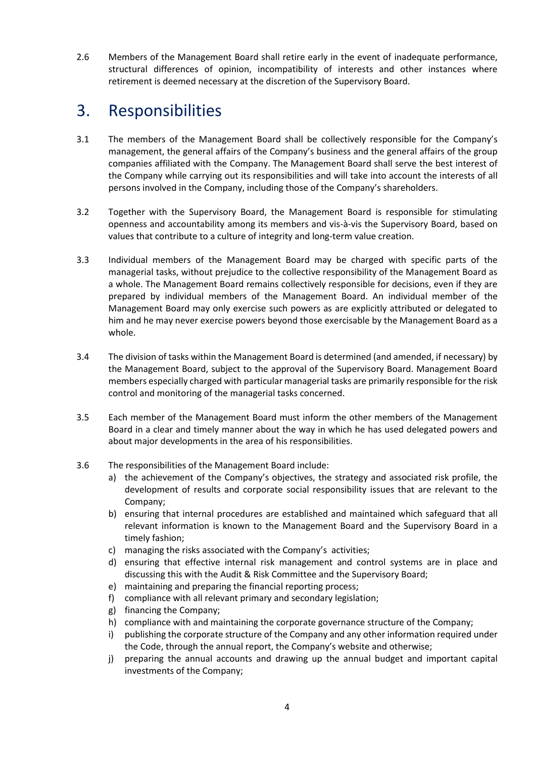2.6 Members of the Management Board shall retire early in the event of inadequate performance, structural differences of opinion, incompatibility of interests and other instances where retirement is deemed necessary at the discretion of the Supervisory Board.

### 3. Responsibilities

- 3.1 The members of the Management Board shall be collectively responsible for the Company's management, the general affairs of the Company's business and the general affairs of the group companies affiliated with the Company. The Management Board shall serve the best interest of the Company while carrying out its responsibilities and will take into account the interests of all persons involved in the Company, including those of the Company's shareholders.
- 3.2 Together with the Supervisory Board, the Management Board is responsible for stimulating openness and accountability among its members and vis-à-vis the Supervisory Board, based on values that contribute to a culture of integrity and long-term value creation.
- 3.3 Individual members of the Management Board may be charged with specific parts of the managerial tasks, without prejudice to the collective responsibility of the Management Board as a whole. The Management Board remains collectively responsible for decisions, even if they are prepared by individual members of the Management Board. An individual member of the Management Board may only exercise such powers as are explicitly attributed or delegated to him and he may never exercise powers beyond those exercisable by the Management Board as a whole.
- 3.4 The division of tasks within the Management Board is determined (and amended, if necessary) by the Management Board, subject to the approval of the Supervisory Board. Management Board members especially charged with particular managerial tasks are primarily responsible for the risk control and monitoring of the managerial tasks concerned.
- 3.5 Each member of the Management Board must inform the other members of the Management Board in a clear and timely manner about the way in which he has used delegated powers and about major developments in the area of his responsibilities.
- 3.6 The responsibilities of the Management Board include:
	- a) the achievement of the Company's objectives, the strategy and associated risk profile, the development of results and corporate social responsibility issues that are relevant to the Company;
	- b) ensuring that internal procedures are established and maintained which safeguard that all relevant information is known to the Management Board and the Supervisory Board in a timely fashion;
	- c) managing the risks associated with the Company's activities;
	- d) ensuring that effective internal risk management and control systems are in place and discussing this with the Audit & Risk Committee and the Supervisory Board;
	- e) maintaining and preparing the financial reporting process;
	- f) compliance with all relevant primary and secondary legislation;
	- g) financing the Company;
	- h) compliance with and maintaining the corporate governance structure of the Company;
	- i) publishing the corporate structure of the Company and any other information required under the Code, through the annual report, the Company's website and otherwise;
	- j) preparing the annual accounts and drawing up the annual budget and important capital investments of the Company;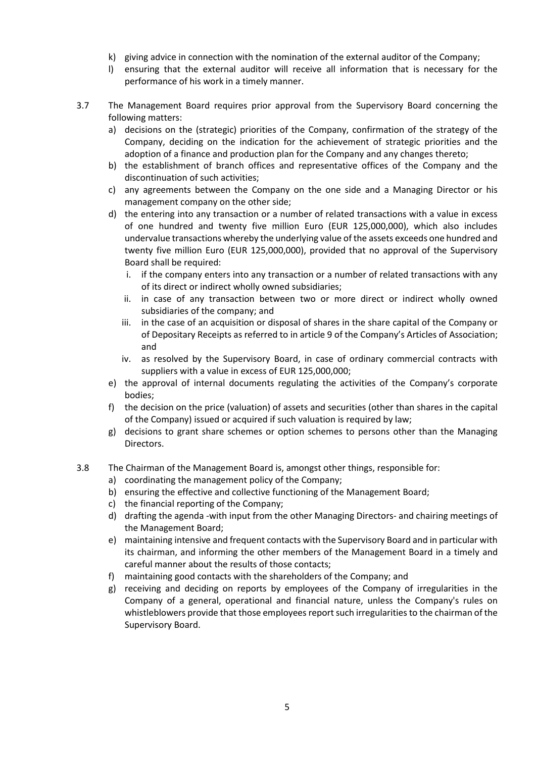- k) giving advice in connection with the nomination of the external auditor of the Company;
- l) ensuring that the external auditor will receive all information that is necessary for the performance of his work in a timely manner.
- 3.7 The Management Board requires prior approval from the Supervisory Board concerning the following matters:
	- a) decisions on the (strategic) priorities of the Company, confirmation of the strategy of the Company, deciding on the indication for the achievement of strategic priorities and the adoption of a finance and production plan for the Company and any changes thereto;
	- b) the establishment of branch offices and representative offices of the Company and the discontinuation of such activities;
	- c) any agreements between the Company on the one side and a Managing Director or his management company on the other side;
	- d) the entering into any transaction or a number of related transactions with a value in excess of one hundred and twenty five million Euro (EUR 125,000,000), which also includes undervalue transactions whereby the underlying value of the assets exceeds one hundred and twenty five million Euro (EUR 125,000,000), provided that no approval of the Supervisory Board shall be required:
		- i. if the company enters into any transaction or a number of related transactions with any of its direct or indirect wholly owned subsidiaries;
		- ii. in case of any transaction between two or more direct or indirect wholly owned subsidiaries of the company; and
		- iii. in the case of an acquisition or disposal of shares in the share capital of the Company or of Depositary Receipts as referred to in article 9 of the Company's Articles of Association; and
		- iv. as resolved by the Supervisory Board, in case of ordinary commercial contracts with suppliers with a value in excess of EUR 125,000,000;
	- e) the approval of internal documents regulating the activities of the Company's corporate bodies;
	- f) the decision on the price (valuation) of assets and securities (other than shares in the capital of the Company) issued or acquired if such valuation is required by law;
	- g) decisions to grant share schemes or option schemes to persons other than the Managing Directors.
- 3.8 The Chairman of the Management Board is, amongst other things, responsible for:
	- a) coordinating the management policy of the Company;
	- b) ensuring the effective and collective functioning of the Management Board;
	- c) the financial reporting of the Company;
	- d) drafting the agenda -with input from the other Managing Directors- and chairing meetings of the Management Board;
	- e) maintaining intensive and frequent contacts with the Supervisory Board and in particular with its chairman, and informing the other members of the Management Board in a timely and careful manner about the results of those contacts;
	- f) maintaining good contacts with the shareholders of the Company; and
	- g) receiving and deciding on reports by employees of the Company of irregularities in the Company of a general, operational and financial nature, unless the Company's rules on whistleblowers provide that those employees report such irregularities to the chairman of the Supervisory Board.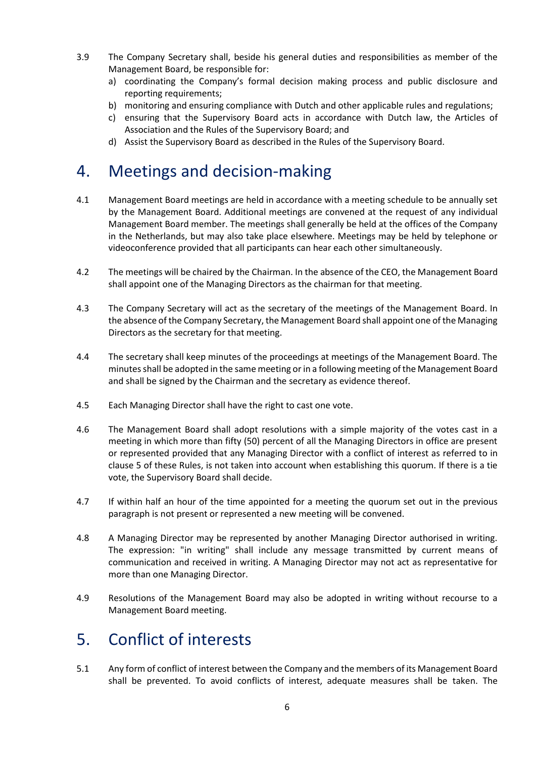- 3.9 The Company Secretary shall, beside his general duties and responsibilities as member of the Management Board, be responsible for:
	- a) coordinating the Company's formal decision making process and public disclosure and reporting requirements;
	- b) monitoring and ensuring compliance with Dutch and other applicable rules and regulations;
	- c) ensuring that the Supervisory Board acts in accordance with Dutch law, the Articles of Association and the Rules of the Supervisory Board; and
	- d) Assist the Supervisory Board as described in the Rules of the Supervisory Board.

# 4. Meetings and decision-making

- 4.1 Management Board meetings are held in accordance with a meeting schedule to be annually set by the Management Board. Additional meetings are convened at the request of any individual Management Board member. The meetings shall generally be held at the offices of the Company in the Netherlands, but may also take place elsewhere. Meetings may be held by telephone or videoconference provided that all participants can hear each other simultaneously.
- 4.2 The meetings will be chaired by the Chairman. In the absence of the CEO, the Management Board shall appoint one of the Managing Directors as the chairman for that meeting.
- 4.3 The Company Secretary will act as the secretary of the meetings of the Management Board. In the absence of the Company Secretary, the Management Board shall appoint one of the Managing Directors as the secretary for that meeting.
- 4.4 The secretary shall keep minutes of the proceedings at meetings of the Management Board. The minutes shall be adopted in the same meeting or in a following meeting of the Management Board and shall be signed by the Chairman and the secretary as evidence thereof.
- 4.5 Each Managing Director shall have the right to cast one vote.
- 4.6 The Management Board shall adopt resolutions with a simple majority of the votes cast in a meeting in which more than fifty (50) percent of all the Managing Directors in office are present or represented provided that any Managing Director with a conflict of interest as referred to in clause 5 of these Rules, is not taken into account when establishing this quorum. If there is a tie vote, the Supervisory Board shall decide.
- 4.7 If within half an hour of the time appointed for a meeting the quorum set out in the previous paragraph is not present or represented a new meeting will be convened.
- 4.8 A Managing Director may be represented by another Managing Director authorised in writing. The expression: "in writing" shall include any message transmitted by current means of communication and received in writing. A Managing Director may not act as representative for more than one Managing Director.
- 4.9 Resolutions of the Management Board may also be adopted in writing without recourse to a Management Board meeting.

### 5. Conflict of interests

5.1 Any form of conflict of interest between the Company and the members of its Management Board shall be prevented. To avoid conflicts of interest, adequate measures shall be taken. The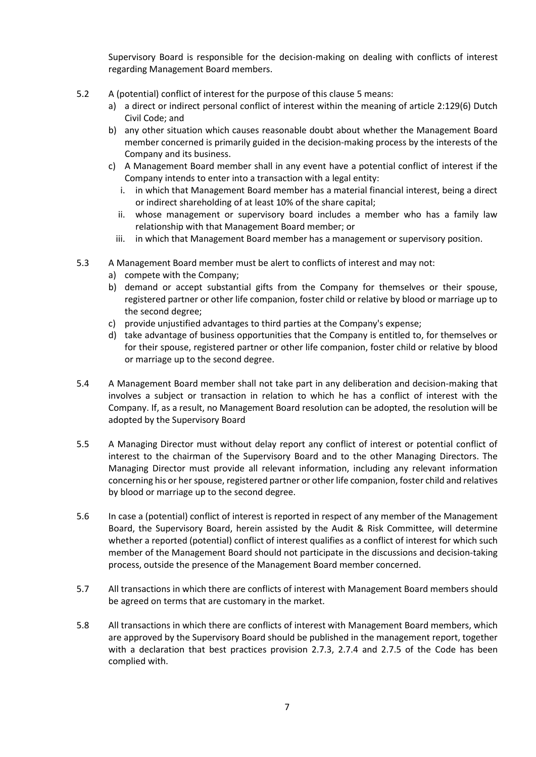Supervisory Board is responsible for the decision-making on dealing with conflicts of interest regarding Management Board members.

- 5.2 A (potential) conflict of interest for the purpose of this clause 5 means:
	- a) a direct or indirect personal conflict of interest within the meaning of article 2:129(6) Dutch Civil Code; and
	- b) any other situation which causes reasonable doubt about whether the Management Board member concerned is primarily guided in the decision-making process by the interests of the Company and its business.
	- c) A Management Board member shall in any event have a potential conflict of interest if the Company intends to enter into a transaction with a legal entity:
		- i. in which that Management Board member has a material financial interest, being a direct or indirect shareholding of at least 10% of the share capital;
		- ii. whose management or supervisory board includes a member who has a family law relationship with that Management Board member; or
		- iii. in which that Management Board member has a management or supervisory position.
- 5.3 A Management Board member must be alert to conflicts of interest and may not:
	- a) compete with the Company;
	- b) demand or accept substantial gifts from the Company for themselves or their spouse, registered partner or other life companion, foster child or relative by blood or marriage up to the second degree;
	- c) provide unjustified advantages to third parties at the Company's expense;
	- d) take advantage of business opportunities that the Company is entitled to, for themselves or for their spouse, registered partner or other life companion, foster child or relative by blood or marriage up to the second degree.
- 5.4 A Management Board member shall not take part in any deliberation and decision-making that involves a subject or transaction in relation to which he has a conflict of interest with the Company. If, as a result, no Management Board resolution can be adopted, the resolution will be adopted by the Supervisory Board
- 5.5 A Managing Director must without delay report any conflict of interest or potential conflict of interest to the chairman of the Supervisory Board and to the other Managing Directors. The Managing Director must provide all relevant information, including any relevant information concerning his or her spouse, registered partner or other life companion, foster child and relatives by blood or marriage up to the second degree.
- 5.6 In case a (potential) conflict of interest is reported in respect of any member of the Management Board, the Supervisory Board, herein assisted by the Audit & Risk Committee, will determine whether a reported (potential) conflict of interest qualifies as a conflict of interest for which such member of the Management Board should not participate in the discussions and decision-taking process, outside the presence of the Management Board member concerned.
- 5.7 All transactions in which there are conflicts of interest with Management Board members should be agreed on terms that are customary in the market.
- 5.8 All transactions in which there are conflicts of interest with Management Board members, which are approved by the Supervisory Board should be published in the management report, together with a declaration that best practices provision 2.7.3, 2.7.4 and 2.7.5 of the Code has been complied with.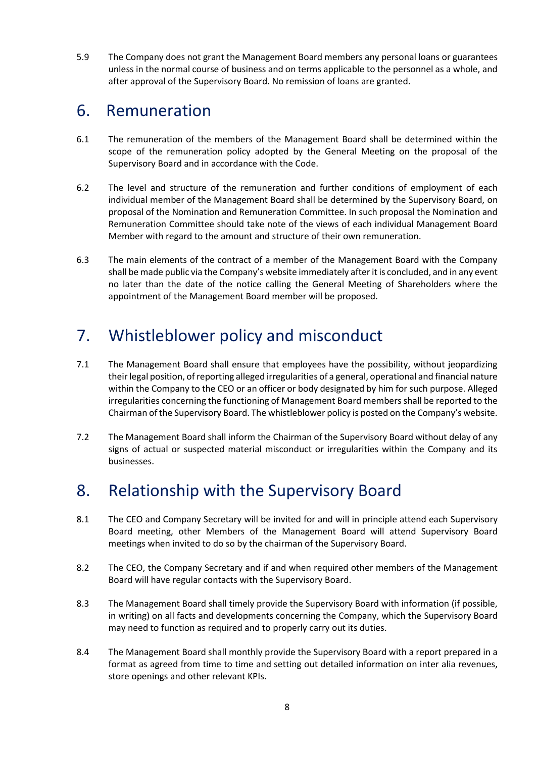5.9 The Company does not grant the Management Board members any personal loans or guarantees unless in the normal course of business and on terms applicable to the personnel as a whole, and after approval of the Supervisory Board. No remission of loans are granted.

#### 6. Remuneration

- 6.1 The remuneration of the members of the Management Board shall be determined within the scope of the remuneration policy adopted by the General Meeting on the proposal of the Supervisory Board and in accordance with the Code.
- 6.2 The level and structure of the remuneration and further conditions of employment of each individual member of the Management Board shall be determined by the Supervisory Board, on proposal of the Nomination and Remuneration Committee. In such proposal the Nomination and Remuneration Committee should take note of the views of each individual Management Board Member with regard to the amount and structure of their own remuneration.
- 6.3 The main elements of the contract of a member of the Management Board with the Company shall be made public via the Company's website immediately after it is concluded, and in any event no later than the date of the notice calling the General Meeting of Shareholders where the appointment of the Management Board member will be proposed.

# 7. Whistleblower policy and misconduct

- 7.1 The Management Board shall ensure that employees have the possibility, without jeopardizing their legal position, of reporting alleged irregularities of a general, operational and financial nature within the Company to the CEO or an officer or body designated by him for such purpose. Alleged irregularities concerning the functioning of Management Board members shall be reported to the Chairman of the Supervisory Board. The whistleblower policy is posted on the Company's website.
- 7.2 The Management Board shall inform the Chairman of the Supervisory Board without delay of any signs of actual or suspected material misconduct or irregularities within the Company and its businesses.

# 8. Relationship with the Supervisory Board

- 8.1 The CEO and Company Secretary will be invited for and will in principle attend each Supervisory Board meeting, other Members of the Management Board will attend Supervisory Board meetings when invited to do so by the chairman of the Supervisory Board.
- 8.2 The CEO, the Company Secretary and if and when required other members of the Management Board will have regular contacts with the Supervisory Board.
- 8.3 The Management Board shall timely provide the Supervisory Board with information (if possible, in writing) on all facts and developments concerning the Company, which the Supervisory Board may need to function as required and to properly carry out its duties.
- 8.4 The Management Board shall monthly provide the Supervisory Board with a report prepared in a format as agreed from time to time and setting out detailed information on inter alia revenues, store openings and other relevant KPIs.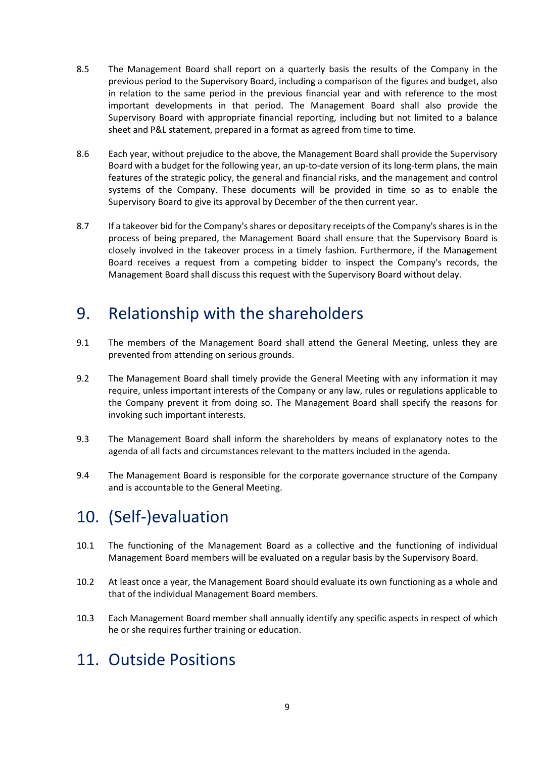- 8.5 The Management Board shall report on a quarterly basis the results of the Company in the previous period to the Supervisory Board, including a comparison of the figures and budget, also in relation to the same period in the previous financial year and with reference to the most important developments in that period. The Management Board shall also provide the Supervisory Board with appropriate financial reporting, including but not limited to a balance sheet and P&L statement, prepared in a format as agreed from time to time.
- 8.6 Each year, without prejudice to the above, the Management Board shall provide the Supervisory Board with a budget for the following year, an up-to-date version of its long-term plans, the main features of the strategic policy, the general and financial risks, and the management and control systems of the Company. These documents will be provided in time so as to enable the Supervisory Board to give its approval by December of the then current year.
- 8.7 If a takeover bid for the Company's shares or depositary receipts of the Company's shares is in the process of being prepared, the Management Board shall ensure that the Supervisory Board is closely involved in the takeover process in a timely fashion. Furthermore, if the Management Board receives a request from a competing bidder to inspect the Company's records, the Management Board shall discuss this request with the Supervisory Board without delay.

#### 9. Relationship with the shareholders

- 9.1 The members of the Management Board shall attend the General Meeting, unless they are prevented from attending on serious grounds.
- 9.2 The Management Board shall timely provide the General Meeting with any information it may require, unless important interests of the Company or any law, rules or regulations applicable to the Company prevent it from doing so. The Management Board shall specify the reasons for invoking such important interests.
- 9.3 The Management Board shall inform the shareholders by means of explanatory notes to the agenda of all facts and circumstances relevant to the matters included in the agenda.
- 9.4 The Management Board is responsible for the corporate governance structure of the Company and is accountable to the General Meeting.

### 10. (Self-)evaluation

- 10.1 The functioning of the Management Board as a collective and the functioning of individual Management Board members will be evaluated on a regular basis by the Supervisory Board.
- 10.2 At least once a year, the Management Board should evaluate its own functioning as a whole and that of the individual Management Board members.
- 10.3 Each Management Board member shall annually identify any specific aspects in respect of which he or she requires further training or education.

# 11. Outside Positions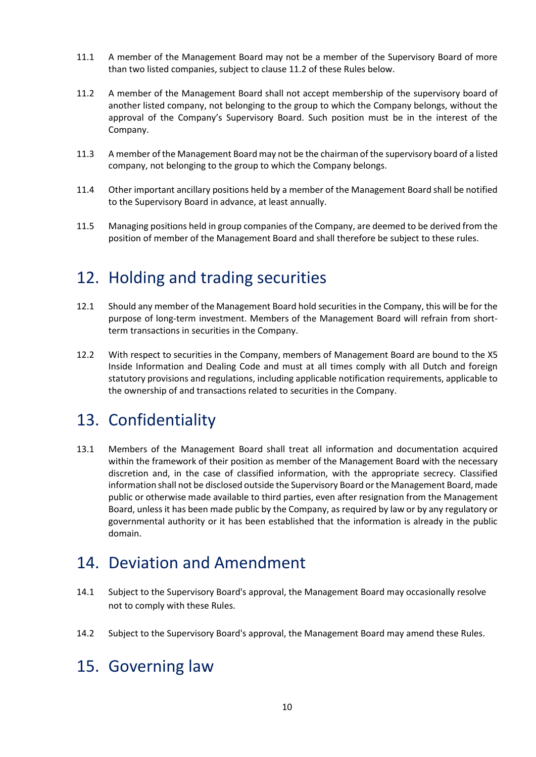- 11.1 A member of the Management Board may not be a member of the Supervisory Board of more than two listed companies, subject to clause 11.2 of these Rules below.
- 11.2 A member of the Management Board shall not accept membership of the supervisory board of another listed company, not belonging to the group to which the Company belongs, without the approval of the Company's Supervisory Board. Such position must be in the interest of the Company.
- 11.3 A member of the Management Board may not be the chairman of the supervisory board of a listed company, not belonging to the group to which the Company belongs.
- 11.4 Other important ancillary positions held by a member of the Management Board shall be notified to the Supervisory Board in advance, at least annually.
- 11.5 Managing positions held in group companies of the Company, are deemed to be derived from the position of member of the Management Board and shall therefore be subject to these rules.

### 12. Holding and trading securities

- 12.1 Should any member of the Management Board hold securities in the Company, this will be for the purpose of long-term investment. Members of the Management Board will refrain from shortterm transactions in securities in the Company.
- 12.2 With respect to securities in the Company, members of Management Board are bound to the X5 Inside Information and Dealing Code and must at all times comply with all Dutch and foreign statutory provisions and regulations, including applicable notification requirements, applicable to the ownership of and transactions related to securities in the Company.

#### 13. Confidentiality

13.1 Members of the Management Board shall treat all information and documentation acquired within the framework of their position as member of the Management Board with the necessary discretion and, in the case of classified information, with the appropriate secrecy. Classified information shall not be disclosed outside the Supervisory Board or the Management Board, made public or otherwise made available to third parties, even after resignation from the Management Board, unless it has been made public by the Company, as required by law or by any regulatory or governmental authority or it has been established that the information is already in the public domain.

#### 14. Deviation and Amendment

- 14.1 Subject to the Supervisory Board's approval, the Management Board may occasionally resolve not to comply with these Rules.
- 14.2 Subject to the Supervisory Board's approval, the Management Board may amend these Rules.

### 15. Governing law